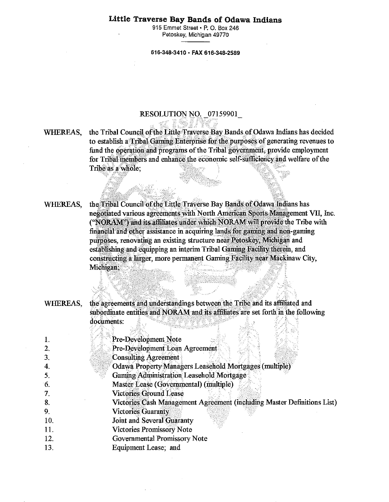# **Little Traverse Bay Bands of Odawa Indians**

915 Emmet Street • P. 0. Box 246 Petoskey, Michigan 49770

#### 616-348-3410 • FAX 616-348-2589

#### RESOLUTION NO. \_07159901\_

WHEREAS, the Tribal Council of the Little Traverse Bay Bands of Odawa Indians has decided to establish a Tribal Gaming Enterprise for the purposes of generating revenues to fund the operation and programs of the Tribal government, provide employment for Tribal members and enhance the'economic self-sufficiency and welfare of the Tribe as a whole;

WHEREAS, the Tribal Council of the Little Traverse Bay Bands of Odawa Indians has negotiated various agreements with North American Sports Management VII. Inc. ("NORAM") and its affiliates under which NORAM will provide the Tribe with financial and other assistance in acquiring lands for gaming and non-gaming purposes, renovating an existing structure near Petoskey, Michigan and establishing and equipping an interim Tribal Gaming Facility therein, and constructing a larger, more permanent Gaming Facility'near Mackinaw City, Michigan;

WHEREAS, the agreements and understandings between the Tribe and its affiliated and subordinate entities and NORAM and its affiliates are set forth in the following documents:

|                | Pre-Development Note                                                    |
|----------------|-------------------------------------------------------------------------|
| $\overline{2}$ | Pre-Development Loan Agreement                                          |
| 3.             | <b>Consulting Agreement</b>                                             |
| 4.             | <b>Odawa Property Managers Leasehold Mortgages (multiple)</b>           |
| 5.             | Gaming Administration Leasehold Mortgage                                |
| 6.             | Master Lease (Governmental) (multiple)                                  |
| 7.             | <b>Victories Ground Lease</b>                                           |
| 8.             | Victories Cash Management Agreement (including Master Definitions List) |
| 9.             | <b>Victories Guaranty</b>                                               |
| 10.            | Joint and Several Guaranty                                              |
| 11.            | <b>Victories Promissory Note</b>                                        |
| 12.            | Governmental Promissory Note                                            |
| 13.            | Equipment Lease; and                                                    |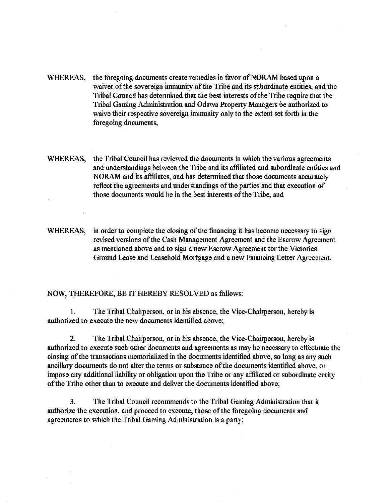- WHEREAS, the foregoing documents create remedies in favor of NORAM based upon a waiver of the sovereign immunity of the Tribe and its subordinate entities, and the Tribal Council has determined that the best interests of the Tribe require that the Tribal Gaming Administration and Odawa Property Managers be authorized to waive their respective sovereign immunity only to the extent set forth in the foregoing documents,
- WHEREAS, the Tribal Council has reviewed the documents in which the various agreements and understandings between the Tribe and its affiliated and subordinate entities and NORAM and its affiliates, and has determined that those documents accurately reflect the agreements and understandings of the parties and that execution of those documents would be in the best interests of the Tribe, and
- WHEREAS, in order to complete the closing of the financing it has become necessary to sign revised versions of the Cash Management Agreement and the Escrow Agreement as mentioned above and to sign a new Escrow Agreement for the Victories Ground Lease and Leasehold Mortgage and a new Financing Letter Agreement.

## NOW, THEREFORE, BE IT HEREBY RESOLVED as follows:

1. The Tribal Chairperson, or in his absence, the Vice-Chairperson, hereby is authorized to execute the new documents identified above;

2. The Tribal Chairperson, or in his absence, the Vice-Chairperson, hereby is authorized to execute such other documents and agreements as may be necessary to effectuate the closing of the transactions memorialized in the documents identified above, so long as any such ancillary documents do not alter the terms or substance of the documents identified above, or impose any additional liability or obligation upon the Tribe or any affiliated or subordinate entity of the Tribe other than to execute and deliver the documents identified above;

3. The Tribal Council recommends to the Tribal Gaming Administration that it authorize the execution, and proceed to execute, those of the foregoing documents and agreements to which the Tribal Gaming Administration is a party;